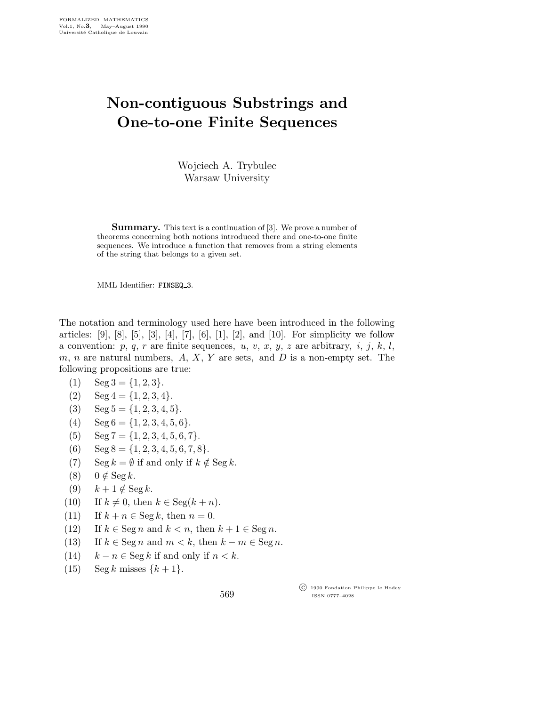## Non-contiguous Substrings and One-to-one Finite Sequences

Wojciech A. Trybulec Warsaw University

Summary. This text is a continuation of [3]. We prove a number of theorems concerning both notions introduced there and one-to-one finite sequences. We introduce a function that removes from a string elements of the string that belongs to a given set.

MML Identifier: FINSEQ 3.

The notation and terminology used here have been introduced in the following articles: [9], [8], [5], [3], [4], [7], [6], [1], [2], and [10]. For simplicity we follow a convention:  $p, q, r$  are finite sequences,  $u, v, x, y, z$  are arbitrary,  $i, j, k, l$ , m, n are natural numbers,  $A, X, Y$  are sets, and  $D$  is a non-empty set. The following propositions are true:

- (1)  $\text{Seg } 3 = \{1, 2, 3\}.$
- (2)  $\text{Seg } 4 = \{1, 2, 3, 4\}.$
- (3) Seg  $5 = \{1, 2, 3, 4, 5\}.$
- (4)  $\text{Seg } 6 = \{1, 2, 3, 4, 5, 6\}.$
- (5)  $\text{Seg } 7 = \{1, 2, 3, 4, 5, 6, 7\}.$
- (6)  $\text{Seg } 8 = \{1, 2, 3, 4, 5, 6, 7, 8\}.$
- (7) Seg  $k = \emptyset$  if and only if  $k \notin \text{Seg } k$ .
- (8)  $0 \notin \text{Seg } k$ .
- (9)  $k+1 \notin \text{Seg } k$ .
- (10) If  $k \neq 0$ , then  $k \in \text{Seg}(k+n)$ .
- (11) If  $k + n \in \text{Seg } k$ , then  $n = 0$ .
- (12) If  $k \in \text{Seg } n$  and  $k < n$ , then  $k + 1 \in \text{Seg } n$ .
- (13) If  $k \in \text{Seg } n$  and  $m < k$ , then  $k m \in \text{Seg } n$ .
- (14)  $k n \in \text{Seg } k$  if and only if  $n < k$ .
- (15) Seg k misses  $\{k+1\}$ .

 c 1990 Fondation Philippe le Hodey ISSN 0777–4028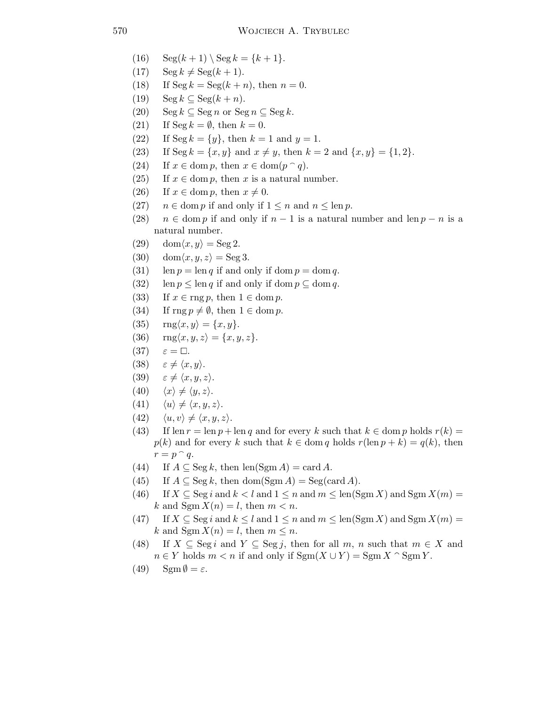- (16)  $\text{Seg}(k+1) \setminus \text{Seg } k = \{k+1\}.$
- $(17)$  Seg  $k \neq$  Seg $(k + 1)$ .
- (18) If  $\text{Seg } k = \text{Seg}(k+n)$ , then  $n = 0$ .
- (19)  $\operatorname{Seg } k \subseteq \operatorname{Seg } (k+n).$
- (20) Seg  $k \subseteq \text{Seg } n$  or  $\text{Seg } n \subseteq \text{Seg } k$ .
- (21) If  $\text{Seg } k = \emptyset$ , then  $k = 0$ .
- (22) If Seg  $k = \{y\}$ , then  $k = 1$  and  $y = 1$ .
- (23) If Seg  $k = \{x, y\}$  and  $x \neq y$ , then  $k = 2$  and  $\{x, y\} = \{1, 2\}$ .
- (24) If  $x \in \text{dom } p$ , then  $x \in \text{dom}(p \cap q)$ .
- (25) If  $x \in \text{dom } p$ , then x is a natural number.
- (26) If  $x \in \text{dom } p$ , then  $x \neq 0$ .
- (27)  $n \in \text{dom } p$  if and only if  $1 \leq n$  and  $n \leq \text{len } p$ .
- (28)  $n \in \text{dom } p$  if and only if  $n-1$  is a natural number and len  $p n$  is a natural number.
- (29)  $\text{dom}\langle x,y\rangle = \text{Seg } 2.$
- (30) dom $\langle x,y,z \rangle = \text{Seg } 3.$
- (31) len  $p = \text{len } q$  if and only if dom  $p = \text{dom } q$ .
- (32) len  $p \leq \text{len } q$  if and only if dom  $p \subseteq \text{dom } q$ .
- (33) If  $x \in \text{rng } p$ , then  $1 \in \text{dom } p$ .
- (34) If  $\text{rng } p \neq \emptyset$ , then  $1 \in \text{dom } p$ .
- (35)  $\text{rng}\langle x,y\rangle = \{x,y\}.$
- (36)  $\text{rng}\langle x,y,z\rangle = \{x,y,z\}.$
- $(37)$  $\Box$ .
- (38)  $\varepsilon \neq \langle x,y \rangle$ .
- (39)  $\varepsilon \neq \langle x,y,z \rangle$ .
- (40)  $\langle x \rangle \neq \langle y, z \rangle$ .
- (41)  $\langle u \rangle \neq \langle x,y,z \rangle$ .
- (42)  $\langle u,v \rangle \neq \langle x,y,z \rangle.$
- (43) If len  $r = \text{len } p + \text{len } q$  and for every k such that  $k \in \text{dom } p$  holds  $r(k) =$  $p(k)$  and for every k such that  $k \in \text{dom } q$  holds  $r(\text{len } p + k) = q(k)$ , then  $r = p \cap q$ .
- (44) If  $A \subseteq \text{Seg } k$ , then  $\text{len}(\text{Sgm } A) = \text{card } A$ .
- (45) If  $A \subseteq \text{Seg } k$ , then dom(Sgm A) = Seg(card A).
- (46) If  $X \subseteq \text{Seg } i$  and  $k < l$  and  $1 \leq n$  and  $m \leq \text{len}(\text{Sgm } X)$  and  $\text{Sgm } X(m) =$ k and  $\text{Sgm}\,X(n) = l$ , then  $m < n$ .
- (47) If  $X \subseteq \text{Seg } i$  and  $k \leq l$  and  $1 \leq n$  and  $m \leq \text{len}(\text{Sgm } X)$  and  $\text{Sgm } X(m) =$ k and  $\text{Sgm}\,X(n) = l$ , then  $m \leq n$ .
- (48) If  $X \subseteq \text{Seg } i$  and  $Y \subseteq \text{Seg } j$ , then for all m, n such that  $m \in X$  and  $n \in Y$  holds  $m < n$  if and only if  $\text{Sgm}(X \cup Y) = \text{Sgm}(X \cap \text{Sgm}(Y))$ .
- (49)  $\text{Sgm}\,\emptyset = \varepsilon.$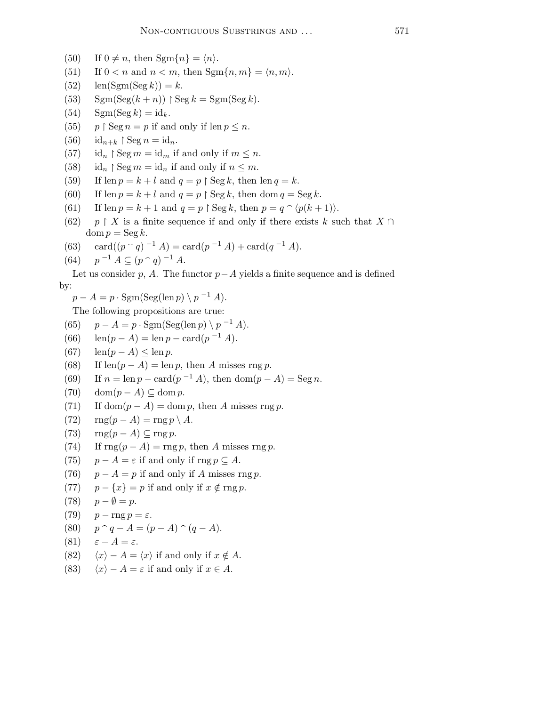- (50) If  $0 \neq n$ , then Sgm{n} =  $\langle n \rangle$ .
- (51) If  $0 < n$  and  $n < m$ , then  $Sgm\{n, m\} = \langle n, m \rangle$ .
- (52)  $\text{len}(\text{Sgm}(\text{Seg } k)) = k.$
- (53)  $\text{Sgm}(\text{Seg}(k+n))$  |  $\text{Seg } k = \text{Sgm}(\text{Seg } k)$ .
- (54)  $\mathrm{Sgm}(\mathrm{Seg } k) = \mathrm{id}_{k}$ .
- $(55)$  $\upbeta \operatorname{Seg} n = p$  if and only if  $\operatorname{len} p \leq n$ .
- $(56)$  id<sub>n+k</sub> | Seg n = id<sub>n</sub>.
- $(57)$  $\beta \operatorname{Seg} m = \operatorname{id}_m$  if and only if  $m \leq n$ .
- $(58)$  $\restriction$  Seg  $m = id_n$  if and only if  $n \leq m$ .
- (59) If len  $p = k + l$  and  $q = p \restriction \text{Seg } k$ , then len  $q = k$ .
- (60) If len  $p = k + l$  and  $q = p \restriction \text{Seg } k$ , then dom  $q = \text{Seg } k$ .
- (61) If len  $p = k + 1$  and  $q = p \restriction \text{Seg } k$ , then  $p = q \restriction (p(k + 1))$ .
- $(62)$  $\restriction X$  is a finite sequence if and only if there exists k such that  $X \cap$  $\text{dom } p = \text{Seg } k.$
- (63) card $((p \cap q)^{-1} A) = \text{card}(p^{-1} A) + \text{card}(q^{-1} A).$
- $(64)$  $^{-1}$   $A \subseteq (p \cap q)^{-1}$   $A$ .

Let us consider p, A. The functor  $p-A$  yields a finite sequence and is defined by:

 $p - A = p \cdot \text{Sgm}(\text{Seg}(\text{len } p) \setminus p^{-1} A).$ 

The following propositions are true:

(65) 
$$
p - A = p \cdot \text{Sgm}(\text{Seg}(\text{len } p) \setminus p^{-1} A).
$$

- (66)  $\text{len}(p A) = \text{len } p \text{card}(p^{-1} A).$
- (67)  $\operatorname{len}(p A) \leq \operatorname{len} p$ .
- (68) If len( $p A$ ) = len p, then A misses rng p.
- (69) If  $n = \ln p \text{card}(p^{-1} A)$ , then  $\text{dom}(p A) = \text{Seg } n$ .
- (70) dom $(p A) \subseteq$ dom p.
- (71) If dom $(p A) =$ dom p, then A misses rng p.
- (72)  $\text{rng}(p-A) = \text{rng } p \setminus A$ .
- (73)  $\text{rng}(p-A) \subseteq \text{rng } p.$
- (74) If  $\text{rng}(p A) = \text{rng } p$ , then A misses rng p.
- (75)  $p A = \varepsilon$  if and only if rng  $p \subseteq A$ .
- (76)  $p A = p$  if and only if A misses rng p.
- (77)  $p \{x\} = p$  if and only if  $x \notin \text{rng } p$ .
- (78)  $p \emptyset = p$ .

(79) 
$$
p - \operatorname{rng} p = \varepsilon.
$$

(80) 
$$
p \cap q - A = (p - A) \cap (q - A)
$$
.

- (81)  $\varepsilon A = \varepsilon$ .
- (82)  $\langle x \rangle A = \langle x \rangle$  if and only if  $x \notin A$ .
- (83)  $\langle x \rangle A = \varepsilon$  if and only if  $x \in A$ .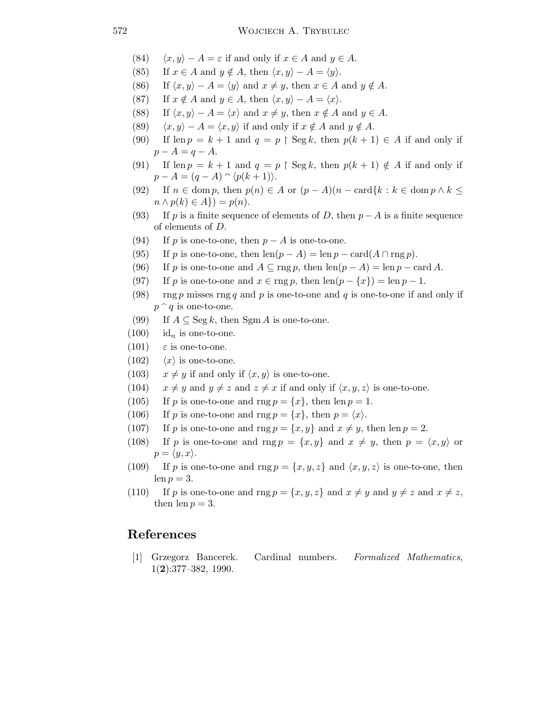- (84)  $\langle x, y \rangle A = \varepsilon$  if and only if  $x \in A$  and  $y \in A$ .
- (85) If  $x \in A$  and  $y \notin A$ , then  $\langle x, y \rangle A = \langle y \rangle$ .
- (86) If  $\langle x, y \rangle A = \langle y \rangle$  and  $x \neq y$ , then  $x \in A$  and  $y \notin A$ .
- (87) If  $x \notin A$  and  $y \in A$ , then  $\langle x, y \rangle A = \langle x \rangle$ .
- (88) If  $\langle x, y \rangle A = \langle x \rangle$  and  $x \neq y$ , then  $x \notin A$  and  $y \in A$ .
- (89)  $\langle x, y \rangle A = \langle x, y \rangle$  if and only if  $x \notin A$  and  $y \notin A$ .
- (90) If len  $p = k + 1$  and  $q = p \restriction \text{Seg } k$ , then  $p(k + 1) \in A$  if and only if  $p - A = q - A.$
- (91) If  $\text{len } p = k + 1$  and  $q = p \restriction \text{Seg } k$ , then  $p(k + 1) \notin A$  if and only if  $p - A = (q - A) \cap \langle p(k + 1) \rangle.$
- (92) If  $n \in \text{dom } p$ , then  $p(n) \in A$  or  $(p-A)(n-\text{card}\{k : k \in \text{dom } p \wedge k \leq \}$  $n \wedge p(k) \in A$ ) =  $p(n)$ .
- (93) If p is a finite sequence of elements of D, then  $p A$  is a finite sequence of elements of D.
- (94) If p is one-to-one, then  $p A$  is one-to-one.
- (95) If p is one-to-one, then  $\text{len}(p A) = \text{len } p \text{card}(A \cap \text{rng } p)$ .
- (96) If p is one-to-one and  $A \subseteq \text{rng } p$ , then  $\text{len}(p A) = \text{len } p \text{card } A$ .
- (97) If p is one-to-one and  $x \in \text{rng } p$ , then  $\text{len}(p \{x\}) = \text{len } p 1$ .
- (98) rng p misses rng q and p is one-to-one and q is one-to-one if and only if  $p \cap q$  is one-to-one.
- (99) If  $A \subseteq \text{Seg } k$ , then Sgm A is one-to-one.
- $(100)$  id<sub>n</sub> is one-to-one.
- (101)  $\varepsilon$  is one-to-one.
- (102)  $\langle x \rangle$  is one-to-one.
- (103)  $x \neq y$  if and only if  $\langle x, y \rangle$  is one-to-one.
- (104)  $x \neq y$  and  $y \neq z$  and  $z \neq x$  if and only if  $\langle x, y, z \rangle$  is one-to-one.
- (105) If p is one-to-one and rng  $p = \{x\}$ , then len  $p = 1$ .
- (106) If p is one-to-one and rng  $p = \{x\}$ , then  $p = \langle x \rangle$ .
- (107) If p is one-to-one and rng  $p = \{x, y\}$  and  $x \neq y$ , then len  $p = 2$ .
- (108) If p is one-to-one and rng  $p = \{x, y\}$  and  $x \neq y$ , then  $p = \langle x, y \rangle$  or  $p = \langle y, x \rangle.$
- (109) If p is one-to-one and rng  $p = \{x,y,z\}$  and  $\langle x,y,z \rangle$  is one-to-one, then  $len p = 3.$
- (110) If p is one-to-one and rng  $p = \{x, y, z\}$  and  $x \neq y$  and  $y \neq z$  and  $x \neq z$ , then  $len p = 3$ .

## References

[1] Grzegorz Bancerek. Cardinal numbers. Formalized Mathematics, 1(2):377–382, 1990.